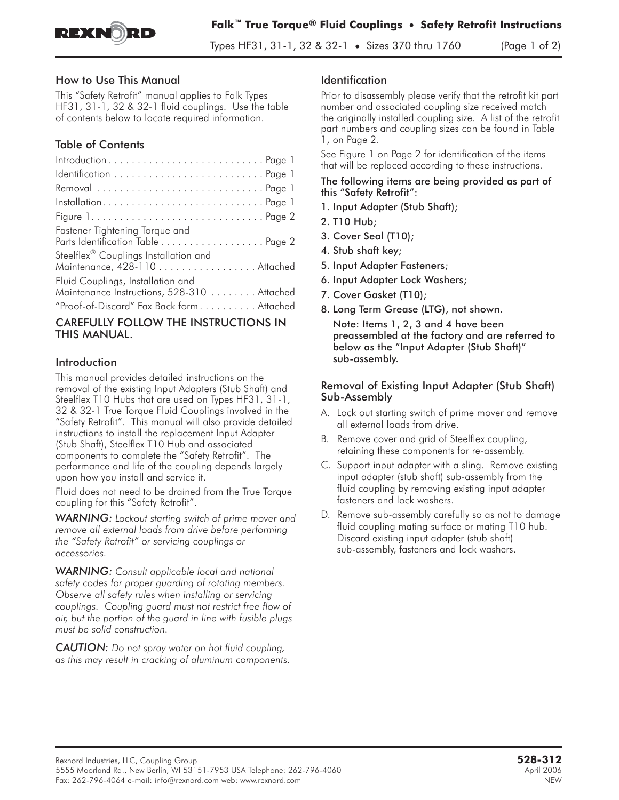

Types HF31, 31-1, 32 & 32-1 • Sizes 370 thru 1760 (Page 1 of 2)

### How to Use This Manual

This "Safety Retrofit" manual applies to Falk Types HF31, 31-1, 32 & 32-1 fluid couplings. Use the table of contents below to locate required information.

# Table of Contents

| Fastener Tightening Torque and<br>Parts Identification Table Page 2                                                         |
|-----------------------------------------------------------------------------------------------------------------------------|
| Steelflex <sup>®</sup> Couplings Installation and<br>Maintenance, 428-110 Attached                                          |
| Fluid Couplings, Installation and<br>Maintenance Instructions, 528-310 Attached<br>"Proof-of-Discard" Fax Back formAttached |

## CAREFULLY FOLLOW THE INSTRUCTIONS IN THIS MANUAL.

## Introduction

This manual provides detailed instructions on the removal of the existing Input Adapters (Stub Shaft) and Steelflex T10 Hubs that are used on Types HF31, 31-1, 32 & 32-1 True Torque Fluid Couplings involved in the "Safety Retrofit". This manual will also provide detailed instructions to install the replacement Input Adapter (Stub Shaft), Steelflex T10 Hub and associated components to complete the "Safety Retrofit". The performance and life of the coupling depends largely upon how you install and service it.

Fluid does not need to be drained from the True Torque coupling for this "Safety Retrofit".

*WARNING: Lockout starting switch of prime mover and remove all external loads from drive before performing the "Safety Retrofit" or servicing couplings or accessories.*

*WARNING: Consult applicable local and national safety codes for proper guarding of rotating members. Observe all safety rules when installing or servicing couplings. Coupling guard must not restrict free flow of air, but the portion of the guard in line with fusible plugs must be solid construction.*

*CAUTION: Do not spray water on hot fluid coupling, as this may result in cracking of aluminum components.*

## **Identification**

Prior to disassembly please verify that the retrofit kit part number and associated coupling size received match the originally installed coupling size. A list of the retrofit part numbers and coupling sizes can be found in Table 1, on Page 2.

See Figure 1 on Page 2 for identification of the items that will be replaced according to these instructions.

The following items are being provided as part of this "Safety Retrofit":

- 1. Input Adapter (Stub Shaft);
- 2. T10 Hub;
- 3. Cover Seal (T10);
- 4. Stub shaft key;
- 5. Input Adapter Fasteners;
- 6. Input Adapter Lock Washers;
- 7. Cover Gasket (T10);
- 8. Long Term Grease (LTG), not shown.

Note: Items 1, 2, 3 and 4 have been preassembled at the factory and are referred to below as the "Input Adapter (Stub Shaft)" sub-assembly.

## Removal of Existing Input Adapter (Stub Shaft) Sub-Assembly

- A. Lock out starting switch of prime mover and remove all external loads from drive.
- B. Remove cover and grid of Steelflex coupling, retaining these components for re-assembly.
- C. Support input adapter with a sling. Remove existing input adapter (stub shaft) sub-assembly from the fluid coupling by removing existing input adapter fasteners and lock washers.
- D. Remove sub-assembly carefully so as not to damage fluid coupling mating surface or mating T10 hub. Discard existing input adapter (stub shaft) sub-assembly, fasteners and lock washers.